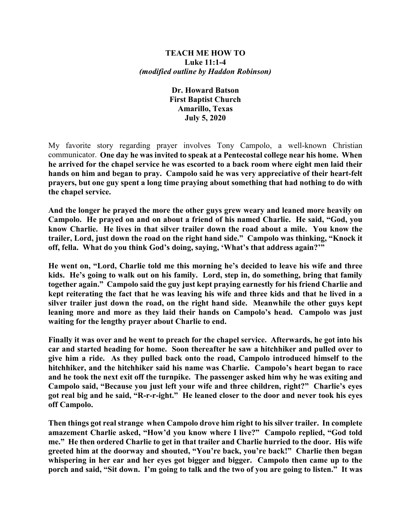### **TEACH ME HOW TO Luke 11:1-4** *(modified outline by Haddon Robinson)*

**Dr. Howard Batson First Baptist Church Amarillo, Texas July 5, 2020**

My favorite story regarding prayer involves Tony Campolo, a well-known Christian communicator. **One day he was invited to speak at a Pentecostal college near his home. When he arrived for the chapel service he was escorted to a back room where eight men laid their hands on him and began to pray. Campolo said he was very appreciative of their heart-felt prayers, but one guy spent a long time praying about something that had nothing to do with the chapel service.** 

**And the longer he prayed the more the other guys grew weary and leaned more heavily on Campolo. He prayed on and on about a friend of his named Charlie. He said, "God, you know Charlie. He lives in that silver trailer down the road about a mile. You know the trailer, Lord, just down the road on the right hand side." Campolo was thinking, "Knock it off, fella. What do you think God's doing, saying, 'What's that address again?'"** 

**He went on, "Lord, Charlie told me this morning he's decided to leave his wife and three kids. He's going to walk out on his family. Lord, step in, do something, bring that family together again." Campolo said the guy just kept praying earnestly for his friend Charlie and kept reiterating the fact that he was leaving his wife and three kids and that he lived in a silver trailer just down the road, on the right hand side. Meanwhile the other guys kept leaning more and more as they laid their hands on Campolo's head. Campolo was just waiting for the lengthy prayer about Charlie to end.** 

**Finally it was over and he went to preach for the chapel service. Afterwards, he got into his car and started heading for home. Soon thereafter he saw a hitchhiker and pulled over to give him a ride. As they pulled back onto the road, Campolo introduced himself to the hitchhiker, and the hitchhiker said his name was Charlie. Campolo's heart began to race and he took the next exit off the turnpike. The passenger asked him why he was exiting and Campolo said, "Because you just left your wife and three children, right?" Charlie's eyes got real big and he said, "R-r-r-ight." He leaned closer to the door and never took his eyes off Campolo.** 

**Then things got real strange when Campolo drove him right to his silver trailer. In complete amazement Charlie asked, "How'd you know where I live?" Campolo replied, "God told me." He then ordered Charlie to get in that trailer and Charlie hurried to the door. His wife greeted him at the doorway and shouted, "You're back, you're back!" Charlie then began whispering in her ear and her eyes got bigger and bigger. Campolo then came up to the porch and said, "Sit down. I'm going to talk and the two of you are going to listen." It was**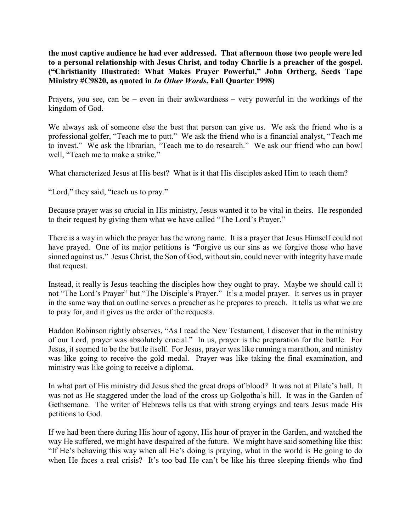**the most captive audience he had ever addressed. That afternoon those two people were led to a personal relationship with Jesus Christ, and today Charlie is a preacher of the gospel. ("Christianity Illustrated: What Makes Prayer Powerful," John Ortberg, Seeds Tape Ministry #C9820, as quoted in** *In Other Words***, Fall Quarter 1998)**

Prayers, you see, can be – even in their awkwardness – very powerful in the workings of the kingdom of God.

We always ask of someone else the best that person can give us. We ask the friend who is a professional golfer, "Teach me to putt." We ask the friend who is a financial analyst, "Teach me to invest." We ask the librarian, "Teach me to do research." We ask our friend who can bowl well, "Teach me to make a strike."

What characterized Jesus at His best? What is it that His disciples asked Him to teach them?

"Lord," they said, "teach us to pray."

Because prayer was so crucial in His ministry, Jesus wanted it to be vital in theirs. He responded to their request by giving them what we have called "The Lord's Prayer."

There is a way in which the prayer has the wrong name. It is a prayer that Jesus Himself could not have prayed. One of its major petitions is "Forgive us our sins as we forgive those who have sinned against us." Jesus Christ, the Son of God, without sin, could never with integrity have made that request.

Instead, it really is Jesus teaching the disciples how they ought to pray. Maybe we should call it not "The Lord's Prayer" but "The Disciple's Prayer." It's a model prayer. It serves us in prayer in the same way that an outline serves a preacher as he prepares to preach. It tells us what we are to pray for, and it gives us the order of the requests.

Haddon Robinson rightly observes, "As I read the New Testament, I discover that in the ministry of our Lord, prayer was absolutely crucial." In us, prayer is the preparation for the battle. For Jesus, it seemed to be the battle itself. For Jesus, prayer was like running a marathon, and ministry was like going to receive the gold medal. Prayer was like taking the final examination, and ministry was like going to receive a diploma.

In what part of His ministry did Jesus shed the great drops of blood? It was not at Pilate's hall. It was not as He staggered under the load of the cross up Golgotha's hill. It was in the Garden of Gethsemane. The writer of Hebrews tells us that with strong cryings and tears Jesus made His petitions to God.

If we had been there during His hour of agony, His hour of prayer in the Garden, and watched the way He suffered, we might have despaired of the future. We might have said something like this: "If He's behaving this way when all He's doing is praying, what in the world is He going to do when He faces a real crisis? It's too bad He can't be like his three sleeping friends who find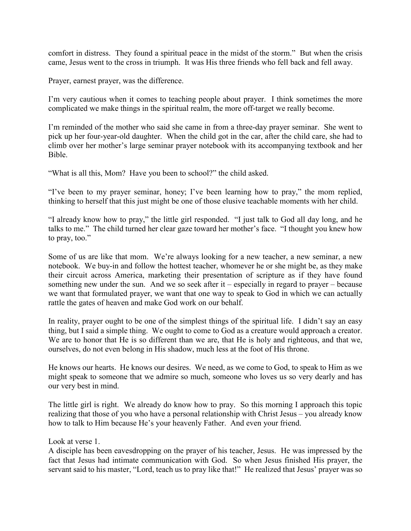comfort in distress. They found a spiritual peace in the midst of the storm." But when the crisis came, Jesus went to the cross in triumph. It was His three friends who fell back and fell away.

Prayer, earnest prayer, was the difference.

I'm very cautious when it comes to teaching people about prayer. I think sometimes the more complicated we make things in the spiritual realm, the more off-target we really become.

I'm reminded of the mother who said she came in from a three-day prayer seminar. She went to pick up her four-year-old daughter. When the child got in the car, after the child care, she had to climb over her mother's large seminar prayer notebook with its accompanying textbook and her Bible.

"What is all this, Mom? Have you been to school?" the child asked.

"I've been to my prayer seminar, honey; I've been learning how to pray," the mom replied, thinking to herself that this just might be one of those elusive teachable moments with her child.

"I already know how to pray," the little girl responded. "I just talk to God all day long, and he talks to me." The child turned her clear gaze toward her mother's face. "I thought you knew how to pray, too."

Some of us are like that mom. We're always looking for a new teacher, a new seminar, a new notebook. We buy-in and follow the hottest teacher, whomever he or she might be, as they make their circuit across America, marketing their presentation of scripture as if they have found something new under the sun. And we so seek after it – especially in regard to prayer – because we want that formulated prayer, we want that one way to speak to God in which we can actually rattle the gates of heaven and make God work on our behalf.

In reality, prayer ought to be one of the simplest things of the spiritual life. I didn't say an easy thing, but I said a simple thing. We ought to come to God as a creature would approach a creator. We are to honor that He is so different than we are, that He is holy and righteous, and that we, ourselves, do not even belong in His shadow, much less at the foot of His throne.

He knows our hearts. He knows our desires. We need, as we come to God, to speak to Him as we might speak to someone that we admire so much, someone who loves us so very dearly and has our very best in mind.

The little girl is right. We already do know how to pray. So this morning I approach this topic realizing that those of you who have a personal relationship with Christ Jesus – you already know how to talk to Him because He's your heavenly Father. And even your friend.

#### Look at verse 1.

A disciple has been eavesdropping on the prayer of his teacher, Jesus. He was impressed by the fact that Jesus had intimate communication with God. So when Jesus finished His prayer, the servant said to his master, "Lord, teach us to pray like that!" He realized that Jesus' prayer was so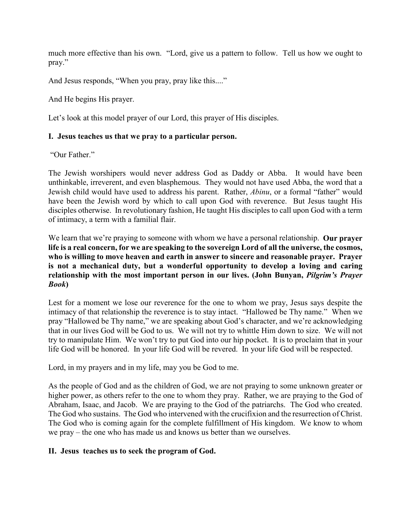much more effective than his own. "Lord, give us a pattern to follow. Tell us how we ought to pray."

And Jesus responds, "When you pray, pray like this...."

And He begins His prayer.

Let's look at this model prayer of our Lord, this prayer of His disciples.

# **I. Jesus teaches us that we pray to a particular person.**

"Our Father."

The Jewish worshipers would never address God as Daddy or Abba. It would have been unthinkable, irreverent, and even blasphemous. They would not have used Abba, the word that a Jewish child would have used to address his parent. Rather, *Abinu*, or a formal "father" would have been the Jewish word by which to call upon God with reverence. But Jesus taught His disciples otherwise. In revolutionary fashion, He taught His disciples to call upon God with a term of intimacy, a term with a familial flair.

We learn that we're praying to someone with whom we have a personal relationship. **Our prayer life is a real concern, for we are speaking to the sovereign Lord of all the universe, the cosmos, who is willing to move heaven and earth in answer to sincere and reasonable prayer. Prayer is not a mechanical duty, but a wonderful opportunity to develop a loving and caring relationship with the most important person in our lives. (John Bunyan,** *Pilgrim's Prayer Book***)**

Lest for a moment we lose our reverence for the one to whom we pray, Jesus says despite the intimacy of that relationship the reverence is to stay intact. "Hallowed be Thy name." When we pray "Hallowed be Thy name," we are speaking about God's character, and we're acknowledging that in our lives God will be God to us. We will not try to whittle Him down to size. We will not try to manipulate Him. We won't try to put God into our hip pocket. It is to proclaim that in your life God will be honored. In your life God will be revered. In your life God will be respected.

Lord, in my prayers and in my life, may you be God to me.

As the people of God and as the children of God, we are not praying to some unknown greater or higher power, as others refer to the one to whom they pray. Rather, we are praying to the God of Abraham, Isaac, and Jacob. We are praying to the God of the patriarchs. The God who created. The God who sustains. The God who intervened with the crucifixion and the resurrection of Christ. The God who is coming again for the complete fulfillment of His kingdom. We know to whom we pray – the one who has made us and knows us better than we ourselves.

## **II. Jesus teaches us to seek the program of God.**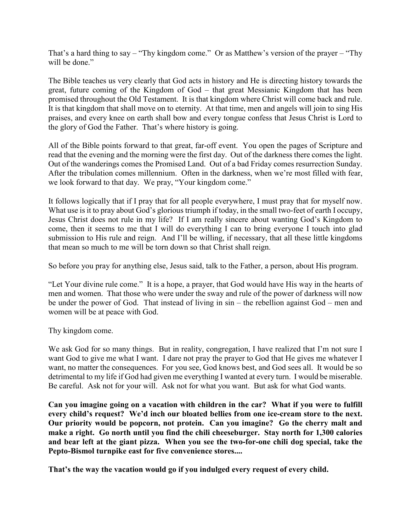That's a hard thing to say – "Thy kingdom come." Or as Matthew's version of the prayer – "Thy will be done."

The Bible teaches us very clearly that God acts in history and He is directing history towards the great, future coming of the Kingdom of God – that great Messianic Kingdom that has been promised throughout the Old Testament. It is that kingdom where Christ will come back and rule. It is that kingdom that shall move on to eternity. At that time, men and angels will join to sing His praises, and every knee on earth shall bow and every tongue confess that Jesus Christ is Lord to the glory of God the Father. That's where history is going.

All of the Bible points forward to that great, far-off event. You open the pages of Scripture and read that the evening and the morning were the first day. Out of the darkness there comes the light. Out of the wanderings comes the Promised Land. Out of a bad Friday comes resurrection Sunday. After the tribulation comes millennium. Often in the darkness, when we're most filled with fear, we look forward to that day. We pray, "Your kingdom come."

It follows logically that if I pray that for all people everywhere, I must pray that for myself now. What use is it to pray about God's glorious triumph if today, in the small two-feet of earth I occupy, Jesus Christ does not rule in my life? If I am really sincere about wanting God's Kingdom to come, then it seems to me that I will do everything I can to bring everyone I touch into glad submission to His rule and reign. And I'll be willing, if necessary, that all these little kingdoms that mean so much to me will be torn down so that Christ shall reign.

So before you pray for anything else, Jesus said, talk to the Father, a person, about His program.

"Let Your divine rule come." It is a hope, a prayer, that God would have His way in the hearts of men and women. That those who were under the sway and rule of the power of darkness will now be under the power of God. That instead of living in sin – the rebellion against God – men and women will be at peace with God.

Thy kingdom come.

We ask God for so many things. But in reality, congregation, I have realized that I'm not sure I want God to give me what I want. I dare not pray the prayer to God that He gives me whatever I want, no matter the consequences. For you see, God knows best, and God sees all. It would be so detrimental to my life if God had given me everything I wanted at every turn. I would be miserable. Be careful. Ask not for your will. Ask not for what you want. But ask for what God wants.

**Can you imagine going on a vacation with children in the car? What if you were to fulfill every child's request? We'd inch our bloated bellies from one ice-cream store to the next. Our priority would be popcorn, not protein. Can you imagine? Go the cherry malt and make a right. Go north until you find the chili cheeseburger. Stay north for 1,300 calories and bear left at the giant pizza. When you see the two-for-one chili dog special, take the Pepto-Bismol turnpike east for five convenience stores....**

**That's the way the vacation would go if you indulged every request of every child.**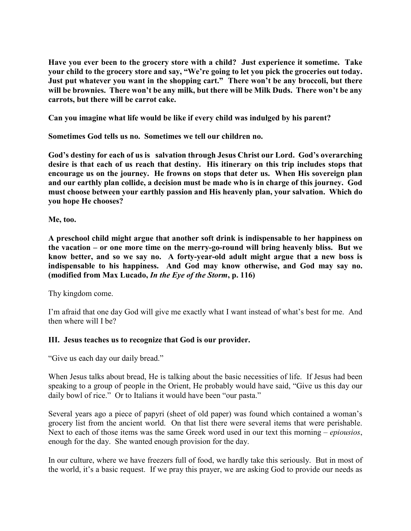**Have you ever been to the grocery store with a child? Just experience it sometime. Take your child to the grocery store and say, "We're going to let you pick the groceries out today. Just put whatever you want in the shopping cart." There won't be any broccoli, but there will be brownies. There won't be any milk, but there will be Milk Duds. There won't be any carrots, but there will be carrot cake.**

**Can you imagine what life would be like if every child was indulged by his parent?**

**Sometimes God tells us no. Sometimes we tell our children no.**

**God's destiny for each of us is salvation through Jesus Christ our Lord. God's overarching desire is that each of us reach that destiny. His itinerary on this trip includes stops that encourage us on the journey. He frowns on stops that deter us. When His sovereign plan and our earthly plan collide, a decision must be made who is in charge of this journey. God must choose between your earthly passion and His heavenly plan, your salvation. Which do you hope He chooses?**

#### **Me, too.**

**A preschool child might argue that another soft drink is indispensable to her happiness on the vacation – or one more time on the merry-go-round will bring heavenly bliss. But we know better, and so we say no. A forty-year-old adult might argue that a new boss is indispensable to his happiness. And God may know otherwise, and God may say no. (modified from Max Lucado,** *In the Eye of the Storm***, p. 116)**

Thy kingdom come.

I'm afraid that one day God will give me exactly what I want instead of what's best for me. And then where will I be?

#### **III. Jesus teaches us to recognize that God is our provider.**

"Give us each day our daily bread."

When Jesus talks about bread, He is talking about the basic necessities of life. If Jesus had been speaking to a group of people in the Orient, He probably would have said, "Give us this day our daily bowl of rice." Or to Italians it would have been "our pasta."

Several years ago a piece of papyri (sheet of old paper) was found which contained a woman's grocery list from the ancient world. On that list there were several items that were perishable. Next to each of those items was the same Greek word used in our text this morning – *epiousios*, enough for the day. She wanted enough provision for the day.

In our culture, where we have freezers full of food, we hardly take this seriously. But in most of the world, it's a basic request. If we pray this prayer, we are asking God to provide our needs as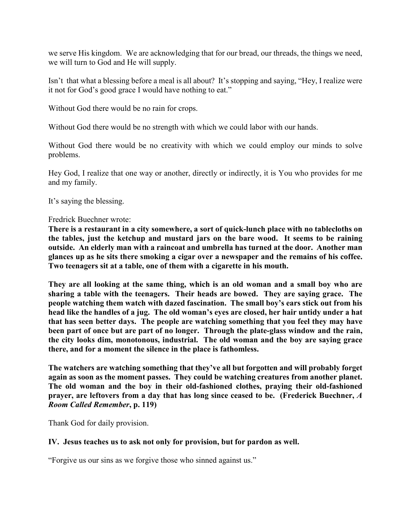we serve His kingdom. We are acknowledging that for our bread, our threads, the things we need, we will turn to God and He will supply.

Isn't that what a blessing before a meal is all about? It's stopping and saying, "Hey, I realize were it not for God's good grace I would have nothing to eat."

Without God there would be no rain for crops.

Without God there would be no strength with which we could labor with our hands.

Without God there would be no creativity with which we could employ our minds to solve problems.

Hey God, I realize that one way or another, directly or indirectly, it is You who provides for me and my family.

It's saying the blessing.

Fredrick Buechner wrote:

**There is a restaurant in a city somewhere, a sort of quick-lunch place with no tablecloths on the tables, just the ketchup and mustard jars on the bare wood. It seems to be raining outside. An elderly man with a raincoat and umbrella has turned at the door. Another man glances up as he sits there smoking a cigar over a newspaper and the remains of his coffee. Two teenagers sit at a table, one of them with a cigarette in his mouth.** 

**They are all looking at the same thing, which is an old woman and a small boy who are sharing a table with the teenagers. Their heads are bowed. They are saying grace. The people watching them watch with dazed fascination. The small boy's ears stick out from his head like the handles of a jug. The old woman's eyes are closed, her hair untidy under a hat that has seen better days. The people are watching something that you feel they may have been part of once but are part of no longer. Through the plate-glass window and the rain, the city looks dim, monotonous, industrial. The old woman and the boy are saying grace there, and for a moment the silence in the place is fathomless.** 

**The watchers are watching something that they've all but forgotten and will probably forget again as soon as the moment passes. They could be watching creatures from another planet. The old woman and the boy in their old-fashioned clothes, praying their old-fashioned prayer, are leftovers from a day that has long since ceased to be. (Frederick Buechner,** *A Room Called Remember***, p. 119)**

Thank God for daily provision.

#### **IV. Jesus teaches us to ask not only for provision, but for pardon as well.**

"Forgive us our sins as we forgive those who sinned against us."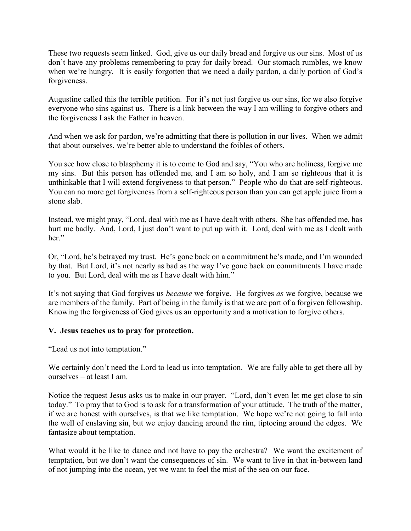These two requests seem linked. God, give us our daily bread and forgive us our sins. Most of us don't have any problems remembering to pray for daily bread. Our stomach rumbles, we know when we're hungry. It is easily forgotten that we need a daily pardon, a daily portion of God's forgiveness.

Augustine called this the terrible petition. For it's not just forgive us our sins, for we also forgive everyone who sins against us. There is a link between the way I am willing to forgive others and the forgiveness I ask the Father in heaven.

And when we ask for pardon, we're admitting that there is pollution in our lives. When we admit that about ourselves, we're better able to understand the foibles of others.

You see how close to blasphemy it is to come to God and say, "You who are holiness, forgive me my sins. But this person has offended me, and I am so holy, and I am so righteous that it is unthinkable that I will extend forgiveness to that person." People who do that are self-righteous. You can no more get forgiveness from a self-righteous person than you can get apple juice from a stone slab.

Instead, we might pray, "Lord, deal with me as I have dealt with others. She has offended me, has hurt me badly. And, Lord, I just don't want to put up with it. Lord, deal with me as I dealt with her."

Or, "Lord, he's betrayed my trust. He's gone back on a commitment he's made, and I'm wounded by that. But Lord, it's not nearly as bad as the way I've gone back on commitments I have made to you. But Lord, deal with me as I have dealt with him."

It's not saying that God forgives us *because* we forgive. He forgives *as* we forgive, because we are members of the family. Part of being in the family is that we are part of a forgiven fellowship. Knowing the forgiveness of God gives us an opportunity and a motivation to forgive others.

#### **V. Jesus teaches us to pray for protection.**

"Lead us not into temptation."

We certainly don't need the Lord to lead us into temptation. We are fully able to get there all by ourselves – at least I am.

Notice the request Jesus asks us to make in our prayer. "Lord, don't even let me get close to sin today." To pray that to God is to ask for a transformation of your attitude. The truth of the matter, if we are honest with ourselves, is that we like temptation. We hope we're not going to fall into the well of enslaving sin, but we enjoy dancing around the rim, tiptoeing around the edges. We fantasize about temptation.

What would it be like to dance and not have to pay the orchestra? We want the excitement of temptation, but we don't want the consequences of sin. We want to live in that in-between land of not jumping into the ocean, yet we want to feel the mist of the sea on our face.